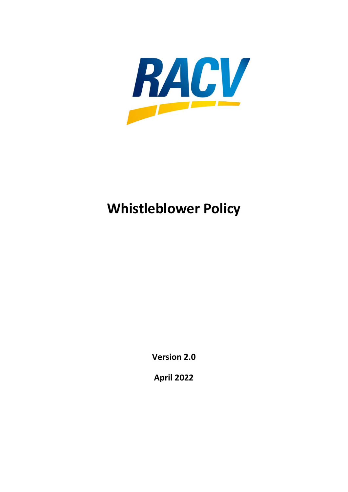

# Whistleblower Policy

Version 2.0

April 2022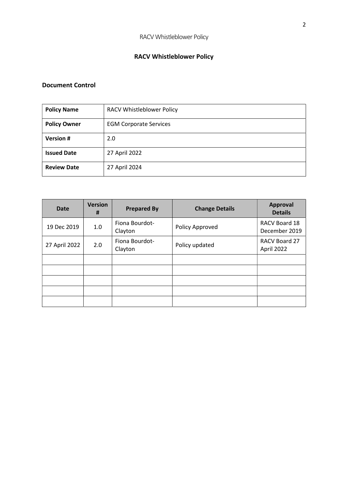# RACV Whistleblower Policy

## Document Control

| <b>Policy Name</b>  | <b>RACV Whistleblower Policy</b> |  |  |
|---------------------|----------------------------------|--|--|
| <b>Policy Owner</b> | <b>EGM Corporate Services</b>    |  |  |
| <b>Version#</b>     | 2.0                              |  |  |
| <b>Issued Date</b>  | 27 April 2022                    |  |  |
| <b>Review Date</b>  | 27 April 2024                    |  |  |

| <b>Date</b>   | <b>Version</b><br>Ħ | <b>Prepared By</b>        | <b>Change Details</b> | <b>Approval</b><br><b>Details</b> |
|---------------|---------------------|---------------------------|-----------------------|-----------------------------------|
| 19 Dec 2019   | $1.0\,$             | Fiona Bourdot-<br>Clayton | Policy Approved       | RACV Board 18<br>December 2019    |
| 27 April 2022 | 2.0                 | Fiona Bourdot-<br>Clayton | Policy updated        | RACV Board 27<br>April 2022       |
|               |                     |                           |                       |                                   |
|               |                     |                           |                       |                                   |
|               |                     |                           |                       |                                   |
|               |                     |                           |                       |                                   |
|               |                     |                           |                       |                                   |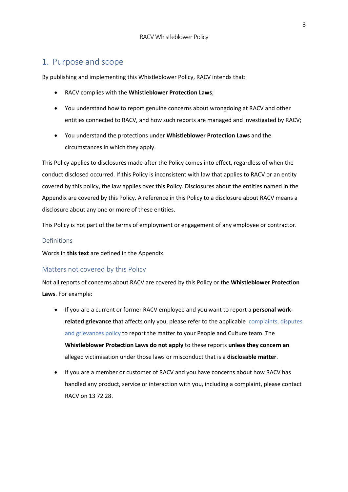# 1. Purpose and scope

By publishing and implementing this Whistleblower Policy, RACV intends that:

- RACV complies with the Whistleblower Protection Laws;
- You understand how to report genuine concerns about wrongdoing at RACV and other entities connected to RACV, and how such reports are managed and investigated by RACV;
- You understand the protections under Whistleblower Protection Laws and the circumstances in which they apply.

This Policy applies to disclosures made after the Policy comes into effect, regardless of when the conduct disclosed occurred. If this Policy is inconsistent with law that applies to RACV or an entity covered by this policy, the law applies over this Policy. Disclosures about the entities named in the Appendix are covered by this Policy. A reference in this Policy to a disclosure about RACV means a disclosure about any one or more of these entities.

This Policy is not part of the terms of employment or engagement of any employee or contractor.

## Definitions

Words in this text are defined in the Appendix.

#### Matters not covered by this Policy

Not all reports of concerns about RACV are covered by this Policy or the Whistleblower Protection Laws. For example:

- If you are a current or former RACV employee and you want to report a **personal work**related grievance that affects only you, please refer to the applicable complaints, disputes and grievances policy to report the matter to your People and Culture team. The Whistleblower Protection Laws do not apply to these reports unless they concern an alleged victimisation under those laws or misconduct that is a disclosable matter.
- If you are a member or customer of RACV and you have concerns about how RACV has handled any product, service or interaction with you, including a complaint, please contact RACV on 13 72 28.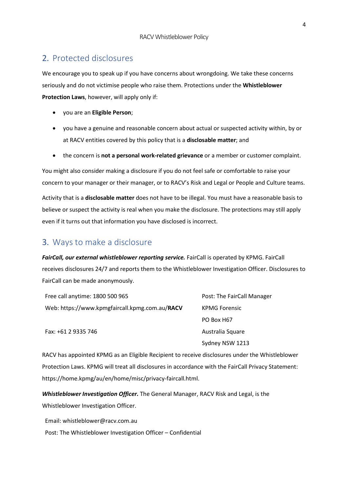# 2. Protected disclosures

We encourage you to speak up if you have concerns about wrongdoing. We take these concerns seriously and do not victimise people who raise them. Protections under the Whistleblower Protection Laws, however, will apply only if:

- you are an Eligible Person;
- you have a genuine and reasonable concern about actual or suspected activity within, by or at RACV entities covered by this policy that is a disclosable matter; and
- the concern is not a personal work-related grievance or a member or customer complaint.

You might also consider making a disclosure if you do not feel safe or comfortable to raise your concern to your manager or their manager, or to RACV's Risk and Legal or People and Culture teams.

Activity that is a disclosable matter does not have to be illegal. You must have a reasonable basis to believe or suspect the activity is real when you make the disclosure. The protections may still apply even if it turns out that information you have disclosed is incorrect.

# 3. Ways to make a disclosure

FairCall, our external whistleblower reporting service. FairCall is operated by KPMG. FairCall receives disclosures 24/7 and reports them to the Whistleblower Investigation Officer. Disclosures to FairCall can be made anonymously.

| Free call anytime: 1800 500 965                | Post: The FairCall Manager |  |
|------------------------------------------------|----------------------------|--|
| Web: https://www.kpmgfaircall.kpmg.com.au/RACV | <b>KPMG Forensic</b>       |  |
|                                                | PO Box H67                 |  |
| Fax: +61 2 9335 746                            | Australia Square           |  |

RACV has appointed KPMG as an Eligible Recipient to receive disclosures under the Whistleblower Protection Laws. KPMG will treat all disclosures in accordance with the FairCall Privacy Statement: https://home.kpmg/au/en/home/misc/privacy-faircall.html.

Sydney NSW 1213

Whistleblower Investigation Officer. The General Manager, RACV Risk and Legal, is the Whistleblower Investigation Officer.

Email: whistleblower@racv.com.au

Post: The Whistleblower Investigation Officer – Confidential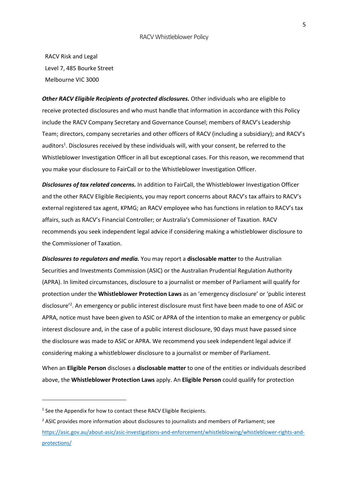#### RACV Whistleblower Policy

RACV Risk and Legal Level 7, 485 Bourke Street Melbourne VIC 3000

Other RACV Eligible Recipients of protected disclosures. Other individuals who are eligible to receive protected disclosures and who must handle that information in accordance with this Policy include the RACV Company Secretary and Governance Counsel; members of RACV's Leadership Team; directors, company secretaries and other officers of RACV (including a subsidiary); and RACV's auditors<sup>1</sup>. Disclosures received by these individuals will, with your consent, be referred to the Whistleblower Investigation Officer in all but exceptional cases. For this reason, we recommend that you make your disclosure to FairCall or to the Whistleblower Investigation Officer.

**Disclosures of tax related concerns.** In addition to FairCall, the Whistleblower Investigation Officer and the other RACV Eligible Recipients, you may report concerns about RACV's tax affairs to RACV's external registered tax agent, KPMG; an RACV employee who has functions in relation to RACV's tax affairs, such as RACV's Financial Controller; or Australia's Commissioner of Taxation. RACV recommends you seek independent legal advice if considering making a whistleblower disclosure to the Commissioner of Taxation.

Disclosures to regulators and media. You may report a disclosable matter to the Australian Securities and Investments Commission (ASIC) or the Australian Prudential Regulation Authority (APRA). In limited circumstances, disclosure to a journalist or member of Parliament will qualify for protection under the Whistleblower Protection Laws as an 'emergency disclosure' or 'public interest disclosure'<sup>2</sup> . An emergency or public interest disclosure must first have been made to one of ASIC or APRA, notice must have been given to ASIC or APRA of the intention to make an emergency or public interest disclosure and, in the case of a public interest disclosure, 90 days must have passed since the disclosure was made to ASIC or APRA. We recommend you seek independent legal advice if considering making a whistleblower disclosure to a journalist or member of Parliament.

When an Eligible Person discloses a disclosable matter to one of the entities or individuals described above, the Whistleblower Protection Laws apply. An Eligible Person could qualify for protection

<sup>&</sup>lt;sup>1</sup> See the Appendix for how to contact these RACV Eligible Recipients.

<sup>&</sup>lt;sup>2</sup> ASIC provides more information about disclosures to journalists and members of Parliament; see https://asic.gov.au/about-asic/asic-investigations-and-enforcement/whistleblowing/whistleblower-rights-andprotections/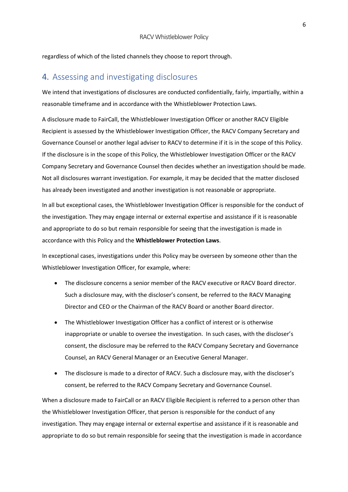regardless of which of the listed channels they choose to report through.

# 4. Assessing and investigating disclosures

We intend that investigations of disclosures are conducted confidentially, fairly, impartially, within a reasonable timeframe and in accordance with the Whistleblower Protection Laws.

A disclosure made to FairCall, the Whistleblower Investigation Officer or another RACV Eligible Recipient is assessed by the Whistleblower Investigation Officer, the RACV Company Secretary and Governance Counsel or another legal adviser to RACV to determine if it is in the scope of this Policy. If the disclosure is in the scope of this Policy, the Whistleblower Investigation Officer or the RACV Company Secretary and Governance Counsel then decides whether an investigation should be made. Not all disclosures warrant investigation. For example, it may be decided that the matter disclosed has already been investigated and another investigation is not reasonable or appropriate.

In all but exceptional cases, the Whistleblower Investigation Officer is responsible for the conduct of the investigation. They may engage internal or external expertise and assistance if it is reasonable and appropriate to do so but remain responsible for seeing that the investigation is made in accordance with this Policy and the Whistleblower Protection Laws.

In exceptional cases, investigations under this Policy may be overseen by someone other than the Whistleblower Investigation Officer, for example, where:

- The disclosure concerns a senior member of the RACV executive or RACV Board director. Such a disclosure may, with the discloser's consent, be referred to the RACV Managing Director and CEO or the Chairman of the RACV Board or another Board director.
- The Whistleblower Investigation Officer has a conflict of interest or is otherwise inappropriate or unable to oversee the investigation. In such cases, with the discloser's consent, the disclosure may be referred to the RACV Company Secretary and Governance Counsel, an RACV General Manager or an Executive General Manager.
- The disclosure is made to a director of RACV. Such a disclosure may, with the discloser's consent, be referred to the RACV Company Secretary and Governance Counsel.

When a disclosure made to FairCall or an RACV Eligible Recipient is referred to a person other than the Whistleblower Investigation Officer, that person is responsible for the conduct of any investigation. They may engage internal or external expertise and assistance if it is reasonable and appropriate to do so but remain responsible for seeing that the investigation is made in accordance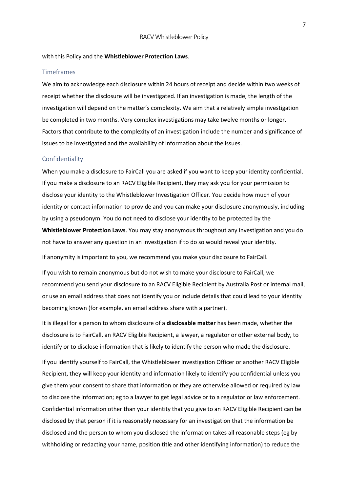#### with this Policy and the Whistleblower Protection Laws.

#### Timeframes

We aim to acknowledge each disclosure within 24 hours of receipt and decide within two weeks of receipt whether the disclosure will be investigated. If an investigation is made, the length of the investigation will depend on the matter's complexity. We aim that a relatively simple investigation be completed in two months. Very complex investigations may take twelve months or longer. Factors that contribute to the complexity of an investigation include the number and significance of issues to be investigated and the availability of information about the issues.

#### Confidentiality

When you make a disclosure to FairCall you are asked if you want to keep your identity confidential. If you make a disclosure to an RACV Eligible Recipient, they may ask you for your permission to disclose your identity to the Whistleblower Investigation Officer. You decide how much of your identity or contact information to provide and you can make your disclosure anonymously, including by using a pseudonym. You do not need to disclose your identity to be protected by the Whistleblower Protection Laws. You may stay anonymous throughout any investigation and you do not have to answer any question in an investigation if to do so would reveal your identity.

If anonymity is important to you, we recommend you make your disclosure to FairCall.

If you wish to remain anonymous but do not wish to make your disclosure to FairCall, we recommend you send your disclosure to an RACV Eligible Recipient by Australia Post or internal mail, or use an email address that does not identify you or include details that could lead to your identity becoming known (for example, an email address share with a partner).

It is illegal for a person to whom disclosure of a **disclosable matter** has been made, whether the disclosure is to FairCall, an RACV Eligible Recipient, a lawyer, a regulator or other external body, to identify or to disclose information that is likely to identify the person who made the disclosure.

If you identify yourself to FairCall, the Whistleblower Investigation Officer or another RACV Eligible Recipient, they will keep your identity and information likely to identify you confidential unless you give them your consent to share that information or they are otherwise allowed or required by law to disclose the information; eg to a lawyer to get legal advice or to a regulator or law enforcement. Confidential information other than your identity that you give to an RACV Eligible Recipient can be disclosed by that person if it is reasonably necessary for an investigation that the information be disclosed and the person to whom you disclosed the information takes all reasonable steps (eg by withholding or redacting your name, position title and other identifying information) to reduce the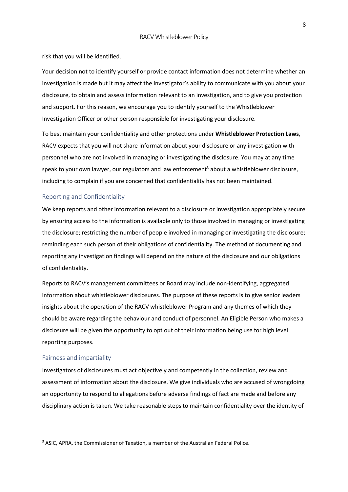risk that you will be identified.

Your decision not to identify yourself or provide contact information does not determine whether an investigation is made but it may affect the investigator's ability to communicate with you about your disclosure, to obtain and assess information relevant to an investigation, and to give you protection and support. For this reason, we encourage you to identify yourself to the Whistleblower Investigation Officer or other person responsible for investigating your disclosure.

To best maintain your confidentiality and other protections under Whistleblower Protection Laws, RACV expects that you will not share information about your disclosure or any investigation with personnel who are not involved in managing or investigating the disclosure. You may at any time speak to your own lawyer, our regulators and law enforcement<sup>3</sup> about a whistleblower disclosure, including to complain if you are concerned that confidentiality has not been maintained.

#### Reporting and Confidentiality

We keep reports and other information relevant to a disclosure or investigation appropriately secure by ensuring access to the information is available only to those involved in managing or investigating the disclosure; restricting the number of people involved in managing or investigating the disclosure; reminding each such person of their obligations of confidentiality. The method of documenting and reporting any investigation findings will depend on the nature of the disclosure and our obligations of confidentiality.

Reports to RACV's management committees or Board may include non-identifying, aggregated information about whistleblower disclosures. The purpose of these reports is to give senior leaders insights about the operation of the RACV whistleblower Program and any themes of which they should be aware regarding the behaviour and conduct of personnel. An Eligible Person who makes a disclosure will be given the opportunity to opt out of their information being use for high level reporting purposes.

#### Fairness and impartiality

Investigators of disclosures must act objectively and competently in the collection, review and assessment of information about the disclosure. We give individuals who are accused of wrongdoing an opportunity to respond to allegations before adverse findings of fact are made and before any disciplinary action is taken. We take reasonable steps to maintain confidentiality over the identity of

<sup>&</sup>lt;sup>3</sup> ASIC, APRA, the Commissioner of Taxation, a member of the Australian Federal Police.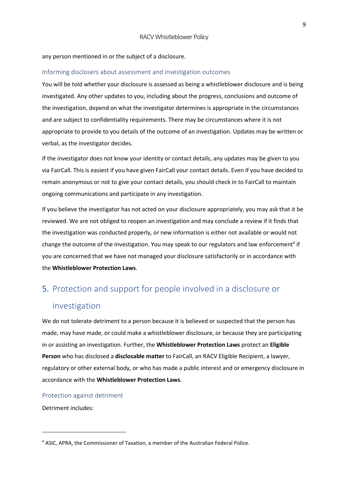#### any person mentioned in or the subject of a disclosure.

#### Informing disclosers about assessment and investigation outcomes

You will be told whether your disclosure is assessed as being a whistleblower disclosure and is being investigated. Any other updates to you, including about the progress, conclusions and outcome of the investigation, depend on what the investigator determines is appropriate in the circumstances and are subject to confidentiality requirements. There may be circumstances where it is not appropriate to provide to you details of the outcome of an investigation. Updates may be written or verbal, as the investigator decides.

If the investigator does not know your identity or contact details, any updates may be given to you via FairCall. This is easiest if you have given FairCall your contact details. Even if you have decided to remain anonymous or not to give your contact details, you should check in to FairCall to maintain ongoing communications and participate in any investigation.

If you believe the investigator has not acted on your disclosure appropriately, you may ask that it be reviewed. We are not obliged to reopen an investigation and may conclude a review if it finds that the investigation was conducted properly, or new information is either not available or would not change the outcome of the investigation. You may speak to our regulators and law enforcement<sup>4</sup> if you are concerned that we have not managed your disclosure satisfactorily or in accordance with the Whistleblower Protection Laws.

# 5. Protection and support for people involved in a disclosure or

## investigation

We do not tolerate detriment to a person because it is believed or suspected that the person has made, may have made, or could make a whistleblower disclosure, or because they are participating in or assisting an investigation. Further, the Whistleblower Protection Laws protect an Eligible Person who has disclosed a disclosable matter to FairCall, an RACV Eligible Recipient, a lawyer, regulatory or other external body, or who has made a public interest and or emergency disclosure in accordance with the Whistleblower Protection Laws.

Protection against detriment

Detriment includes:

<sup>&</sup>lt;sup>4</sup> ASIC, APRA, the Commissioner of Taxation, a member of the Australian Federal Police.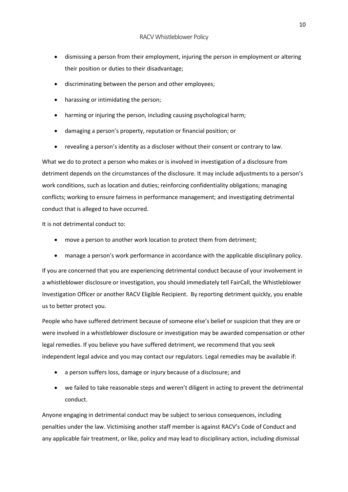- dismissing a person from their employment, injuring the person in employment or altering their position or duties to their disadvantage;
- discriminating between the person and other employees;
- harassing or intimidating the person;
- harming or injuring the person, including causing psychological harm;
- damaging a person's property, reputation or financial position; or
- revealing a person's identity as a discloser without their consent or contrary to law.

What we do to protect a person who makes or is involved in investigation of a disclosure from detriment depends on the circumstances of the disclosure. It may include adjustments to a person's work conditions, such as location and duties; reinforcing confidentiality obligations; managing conflicts; working to ensure fairness in performance management; and investigating detrimental conduct that is alleged to have occurred.

It is not detrimental conduct to:

- move a person to another work location to protect them from detriment;
- manage a person's work performance in accordance with the applicable disciplinary policy.

If you are concerned that you are experiencing detrimental conduct because of your involvement in a whistleblower disclosure or investigation, you should immediately tell FairCall, the Whistleblower Investigation Officer or another RACV Eligible Recipient. By reporting detriment quickly, you enable us to better protect you.

People who have suffered detriment because of someone else's belief or suspicion that they are or were involved in a whistleblower disclosure or investigation may be awarded compensation or other legal remedies. If you believe you have suffered detriment, we recommend that you seek independent legal advice and you may contact our regulators. Legal remedies may be available if:

- a person suffers loss, damage or injury because of a disclosure; and
- we failed to take reasonable steps and weren't diligent in acting to prevent the detrimental conduct.

Anyone engaging in detrimental conduct may be subject to serious consequences, including penalties under the law. Victimising another staff member is against RACV's Code of Conduct and any applicable fair treatment, or like, policy and may lead to disciplinary action, including dismissal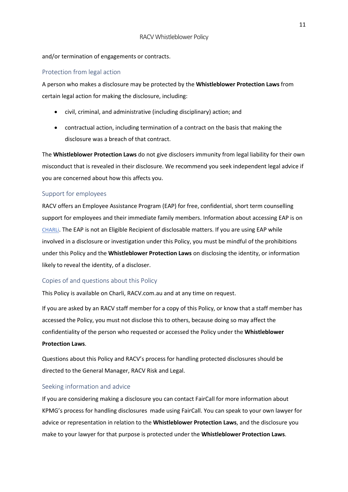#### and/or termination of engagements or contracts.

#### Protection from legal action

A person who makes a disclosure may be protected by the Whistleblower Protection Laws from certain legal action for making the disclosure, including:

- civil, criminal, and administrative (including disciplinary) action; and
- contractual action, including termination of a contract on the basis that making the disclosure was a breach of that contract.

The Whistleblower Protection Laws do not give disclosers immunity from legal liability for their own misconduct that is revealed in their disclosure. We recommend you seek independent legal advice if you are concerned about how this affects you.

#### Support for employees

RACV offers an Employee Assistance Program (EAP) for free, confidential, short term counselling support for employees and their immediate family members. Information about accessing EAP is on CHARLi. The EAP is not an Eligible Recipient of disclosable matters. If you are using EAP while involved in a disclosure or investigation under this Policy, you must be mindful of the prohibitions under this Policy and the Whistleblower Protection Laws on disclosing the identity, or information likely to reveal the identity, of a discloser.

## Copies of and questions about this Policy

This Policy is available on Charli, RACV.com.au and at any time on request.

If you are asked by an RACV staff member for a copy of this Policy, or know that a staff member has accessed the Policy, you must not disclose this to others, because doing so may affect the confidentiality of the person who requested or accessed the Policy under the Whistleblower Protection Laws.

Questions about this Policy and RACV's process for handling protected disclosures should be directed to the General Manager, RACV Risk and Legal.

#### Seeking information and advice

If you are considering making a disclosure you can contact FairCall for more information about KPMG's process for handling disclosures made using FairCall. You can speak to your own lawyer for advice or representation in relation to the Whistleblower Protection Laws, and the disclosure you make to your lawyer for that purpose is protected under the Whistleblower Protection Laws.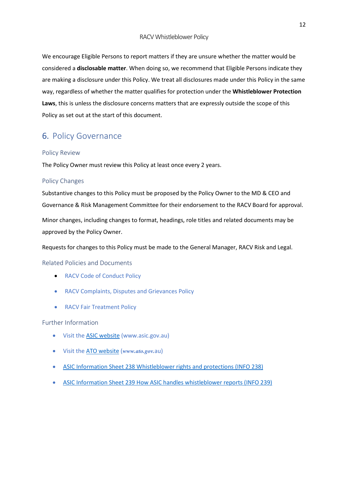We encourage Eligible Persons to report matters if they are unsure whether the matter would be considered a disclosable matter. When doing so, we recommend that Eligible Persons indicate they are making a disclosure under this Policy. We treat all disclosures made under this Policy in the same way, regardless of whether the matter qualifies for protection under the Whistleblower Protection Laws, this is unless the disclosure concerns matters that are expressly outside the scope of this Policy as set out at the start of this document.

# 6. Policy Governance

#### Policy Review

The Policy Owner must review this Policy at least once every 2 years.

#### Policy Changes

Substantive changes to this Policy must be proposed by the Policy Owner to the MD & CEO and Governance & Risk Management Committee for their endorsement to the RACV Board for approval. Minor changes, including changes to format, headings, role titles and related documents may be approved by the Policy Owner.

Requests for changes to this Policy must be made to the General Manager, RACV Risk and Legal.

#### Related Policies and Documents

- RACV Code of Conduct Policy
- RACV Complaints, Disputes and Grievances Policy
- RACV Fair Treatment Policy

#### Further Information

- Visit the ASIC website (www.asic.gov.au)
- $\bullet$  Visit the ATO website (www.ato.gov.au)
- ASIC Information Sheet 238 Whistleblower rights and protections (INFO 238)
- ASIC Information Sheet 239 How ASIC handles whistleblower reports (INFO 239)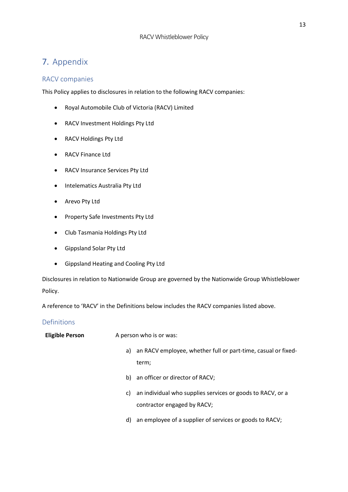# 7. Appendix

## RACV companies

This Policy applies to disclosures in relation to the following RACV companies:

- Royal Automobile Club of Victoria (RACV) Limited
- RACV Investment Holdings Pty Ltd
- RACV Holdings Pty Ltd
- RACV Finance Ltd
- RACV Insurance Services Pty Ltd
- Intelematics Australia Pty Ltd
- Arevo Pty Ltd
- Property Safe Investments Pty Ltd
- Club Tasmania Holdings Pty Ltd
- Gippsland Solar Pty Ltd
- Gippsland Heating and Cooling Pty Ltd

Disclosures in relation to Nationwide Group are governed by the Nationwide Group Whistleblower Policy.

A reference to 'RACV' in the Definitions below includes the RACV companies listed above.

## Definitions

| <b>Eligible Person</b> | A person who is or was: |                                                                  |  |
|------------------------|-------------------------|------------------------------------------------------------------|--|
|                        |                         | a) an RACV employee, whether full or part-time, casual or fixed- |  |
|                        |                         | term;                                                            |  |
|                        |                         | b) an officer or director of RACV;                               |  |
|                        | C)                      | an individual who supplies services or goods to RACV, or a       |  |
|                        |                         | contractor engaged by RACV;                                      |  |
|                        | d)                      | an employee of a supplier of services or goods to RACV;          |  |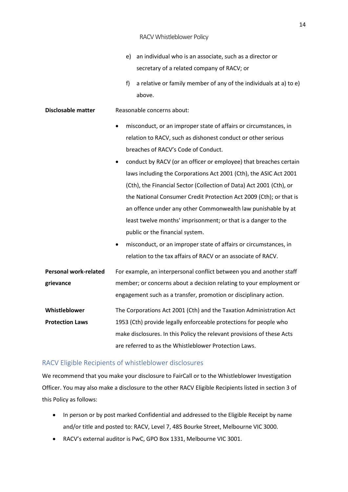#### RACV Whistleblower Policy

- e) an individual who is an associate, such as a director or secretary of a related company of RACV; or
- f) a relative or family member of any of the individuals at a) to e) above.

#### **Disclosable matter** Reasonable concerns about:

- misconduct, or an improper state of affairs or circumstances, in relation to RACV, such as dishonest conduct or other serious breaches of RACV's Code of Conduct.
- conduct by RACV (or an officer or employee) that breaches certain laws including the Corporations Act 2001 (Cth), the ASIC Act 2001 (Cth), the Financial Sector (Collection of Data) Act 2001 (Cth), or the National Consumer Credit Protection Act 2009 (Cth); or that is an offence under any other Commonwealth law punishable by at least twelve months' imprisonment; or that is a danger to the public or the financial system.
- misconduct, or an improper state of affairs or circumstances, in relation to the tax affairs of RACV or an associate of RACV.
- Personal work-related grievance For example, an interpersonal conflict between you and another staff member; or concerns about a decision relating to your employment or engagement such as a transfer, promotion or disciplinary action.

Whistleblower Protection Laws The Corporations Act 2001 (Cth) and the Taxation Administration Act 1953 (Cth) provide legally enforceable protections for people who make disclosures. In this Policy the relevant provisions of these Acts are referred to as the Whistleblower Protection Laws.

#### RACV Eligible Recipients of whistleblower disclosures

We recommend that you make your disclosure to FairCall or to the Whistleblower Investigation Officer. You may also make a disclosure to the other RACV Eligible Recipients listed in section 3 of this Policy as follows:

- In person or by post marked Confidential and addressed to the Eligible Receipt by name and/or title and posted to: RACV, Level 7, 485 Bourke Street, Melbourne VIC 3000.
- RACV's external auditor is PwC, GPO Box 1331, Melbourne VIC 3001.